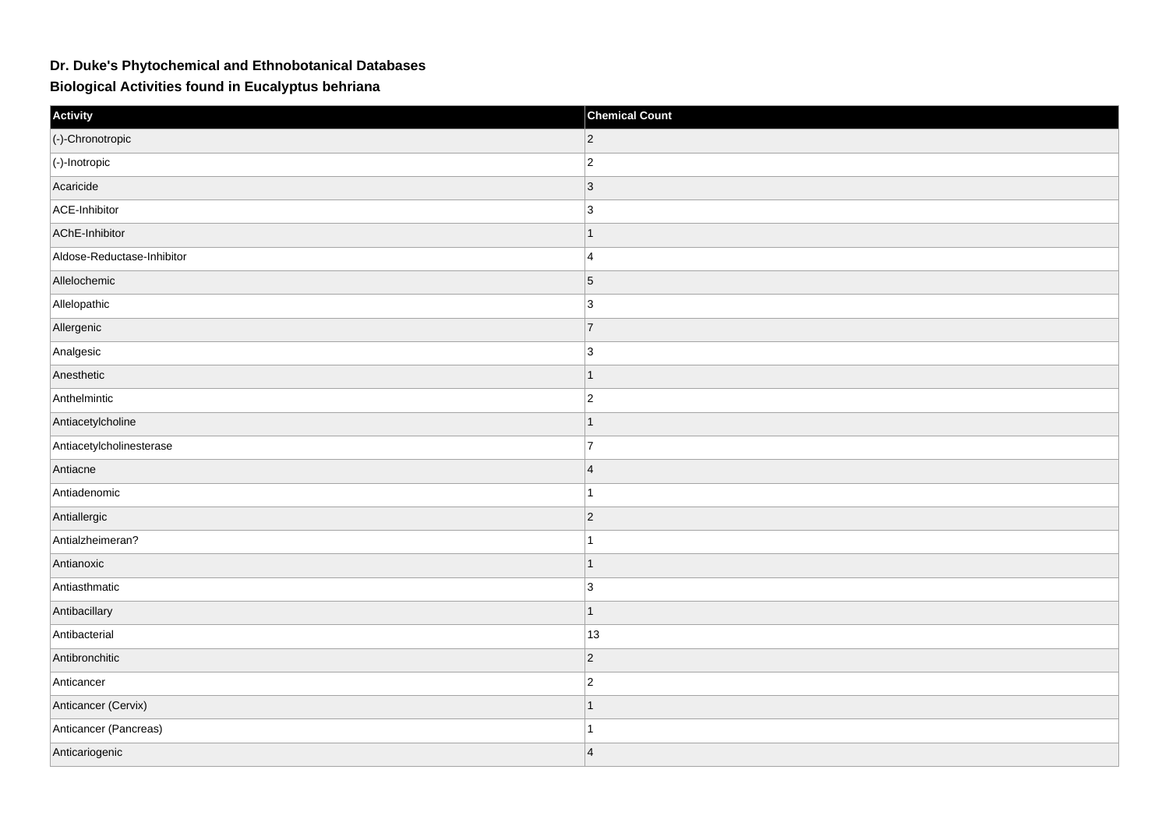## **Dr. Duke's Phytochemical and Ethnobotanical Databases**

**Biological Activities found in Eucalyptus behriana**

| Activity                   | <b>Chemical Count</b> |
|----------------------------|-----------------------|
| (-)-Chronotropic           | $\overline{2}$        |
| $\vert$ (-)-Inotropic      | $\overline{2}$        |
| Acaricide                  | $\vert$ 3             |
| ACE-Inhibitor              | 3                     |
| AChE-Inhibitor             | $\mathbf 1$           |
| Aldose-Reductase-Inhibitor | $\overline{4}$        |
| Allelochemic               | $\overline{5}$        |
| Allelopathic               | 3                     |
| Allergenic                 | $\overline{7}$        |
| Analgesic                  | 3                     |
| Anesthetic                 | $\mathbf{1}$          |
| Anthelmintic               | $ 2\rangle$           |
| Antiacetylcholine          |                       |
| Antiacetylcholinesterase   | $\overline{7}$        |
| Antiacne                   | $\overline{4}$        |
| Antiadenomic               | $\overline{1}$        |
| Antiallergic               | $\overline{2}$        |
| Antialzheimeran?           |                       |
| Antianoxic                 | $\mathbf{1}$          |
| Antiasthmatic              | 3                     |
| Antibacillary              | $\mathbf{1}$          |
| Antibacterial              | 13                    |
| Antibronchitic             | $ 2\rangle$           |
| Anticancer                 | $ 2\rangle$           |
| Anticancer (Cervix)        | $\overline{1}$        |
| Anticancer (Pancreas)      |                       |
| Anticariogenic             | $\vert 4 \vert$       |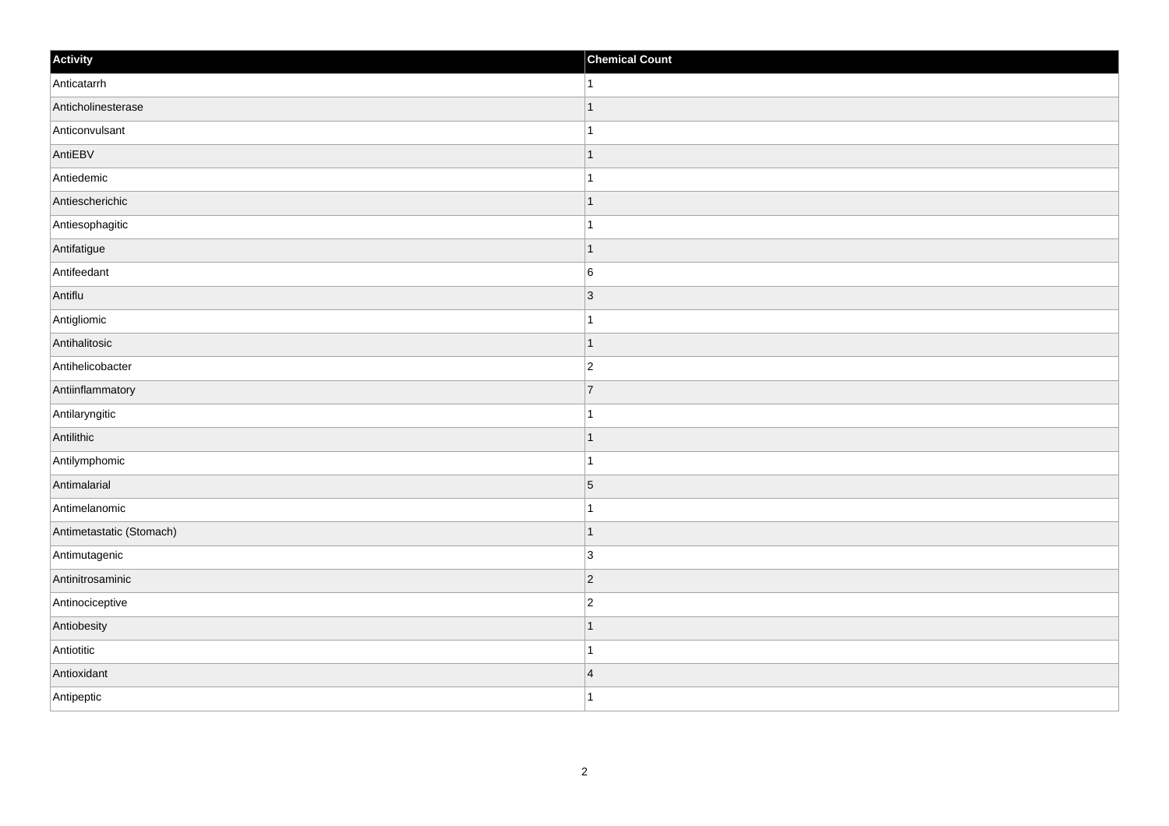| Activity                 | <b>Chemical Count</b>    |
|--------------------------|--------------------------|
| Anticatarrh              | 1                        |
| Anticholinesterase       | $\overline{ }$           |
| Anticonvulsant           |                          |
| AntiEBV                  | ∣ 1                      |
| Antiedemic               | 1                        |
| Antiescherichic          |                          |
| Antiesophagitic          |                          |
| Antifatigue              | $\mathbf 1$              |
| Antifeedant              | 6                        |
| Antiflu                  | $\vert$ 3                |
| Antigliomic              | 1                        |
| Antihalitosic            | $\overline{\phantom{a}}$ |
| Antihelicobacter         | $\overline{c}$           |
| Antiinflammatory         | $\overline{7}$           |
| Antilaryngitic           |                          |
| Antilithic               | 1                        |
| Antilymphomic            | 1                        |
| Antimalarial             | $\overline{5}$           |
| Antimelanomic            |                          |
| Antimetastatic (Stomach) | -1                       |
| Antimutagenic            | 3                        |
| Antinitrosaminic         | $\vert$ 2                |
| Antinociceptive          | $\overline{2}$           |
| Antiobesity              |                          |
| Antiotitic               | -1                       |
| Antioxidant              | $\overline{4}$           |
| Antipeptic               | 1                        |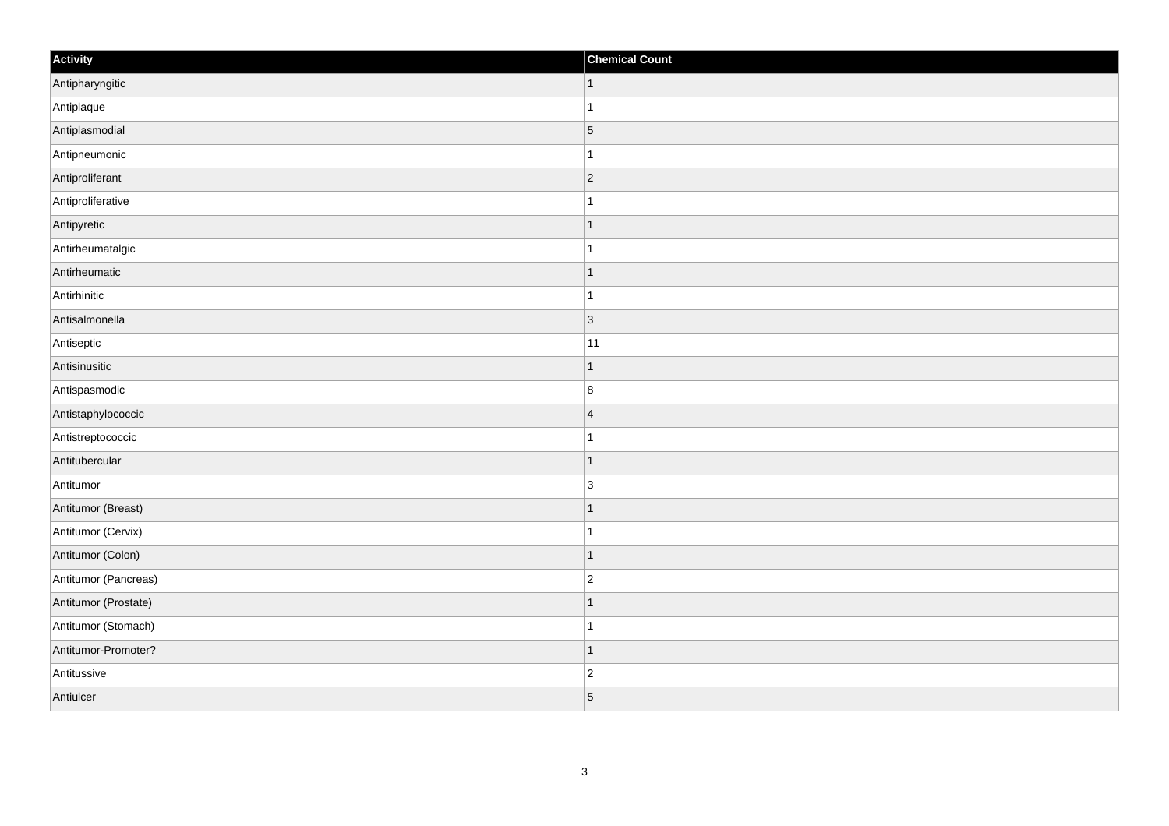| Activity             | <b>Chemical Count</b> |
|----------------------|-----------------------|
| Antipharyngitic      | $\vert$ 1             |
| Antiplaque           | $\overline{1}$        |
| Antiplasmodial       | $\vert 5 \vert$       |
| Antipneumonic        | 1                     |
| Antiproliferant      | $\overline{2}$        |
| Antiproliferative    |                       |
| Antipyretic          | $\mathbf 1$           |
| Antirheumatalgic     | $\mathbf{1}$          |
| Antirheumatic        | $\mathbf 1$           |
| Antirhinitic         | $\overline{1}$        |
| Antisalmonella       | $ 3\rangle$           |
| Antiseptic           | 11                    |
| Antisinusitic        | $\vert$ 1             |
| Antispasmodic        | $\boldsymbol{8}$      |
| Antistaphylococcic   | $\overline{4}$        |
| Antistreptococcic    | $\mathbf{1}$          |
| Antitubercular       | $\mathbf 1$           |
| Antitumor            | 3                     |
| Antitumor (Breast)   | $\mathbf 1$           |
| Antitumor (Cervix)   | 1                     |
| Antitumor (Colon)    | $\overline{1}$        |
| Antitumor (Pancreas) | $ 2\rangle$           |
| Antitumor (Prostate) | -1                    |
| Antitumor (Stomach)  | 1                     |
| Antitumor-Promoter?  | $\mathbf 1$           |
| Antitussive          | $\overline{c}$        |
| Antiulcer            | 5                     |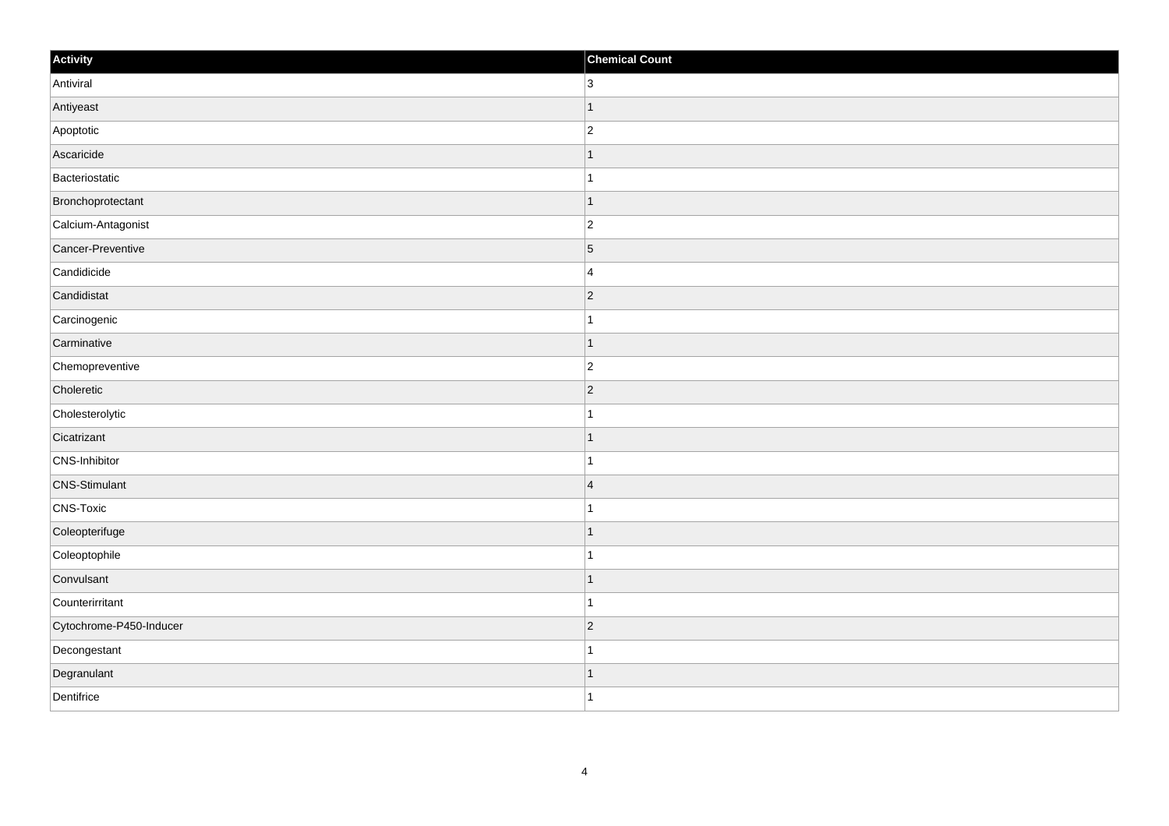| Activity                | <b>Chemical Count</b> |
|-------------------------|-----------------------|
| Antiviral               | $\overline{3}$        |
| Antiyeast               | 1                     |
| Apoptotic               | $\overline{c}$        |
| Ascaricide              | $\mathbf 1$           |
| Bacteriostatic          | $\mathbf{1}$          |
| Bronchoprotectant       | -1                    |
| Calcium-Antagonist      | $\overline{c}$        |
| Cancer-Preventive       | $\overline{5}$        |
| Candidicide             | 4                     |
| Candidistat             | $ 2\rangle$           |
| Carcinogenic            | $\mathbf{1}$          |
| Carminative             | $\mathbf 1$           |
| Chemopreventive         | $ 2\rangle$           |
| Choleretic              | $\overline{2}$        |
| Cholesterolytic         |                       |
| Cicatrizant             | $\mathbf{1}$          |
| CNS-Inhibitor           | $\mathbf{1}$          |
| <b>CNS-Stimulant</b>    | $\overline{4}$        |
| CNS-Toxic               | $\mathbf{1}$          |
| Coleopterifuge          | 1                     |
| Coleoptophile           |                       |
| Convulsant              | $\mathbf{1}$          |
| Counterirritant         | $\mathbf{1}$          |
| Cytochrome-P450-Inducer | $ 2\rangle$           |
| Decongestant            | 1                     |
| Degranulant             | 1                     |
| Dentifrice              | $\mathbf{1}$          |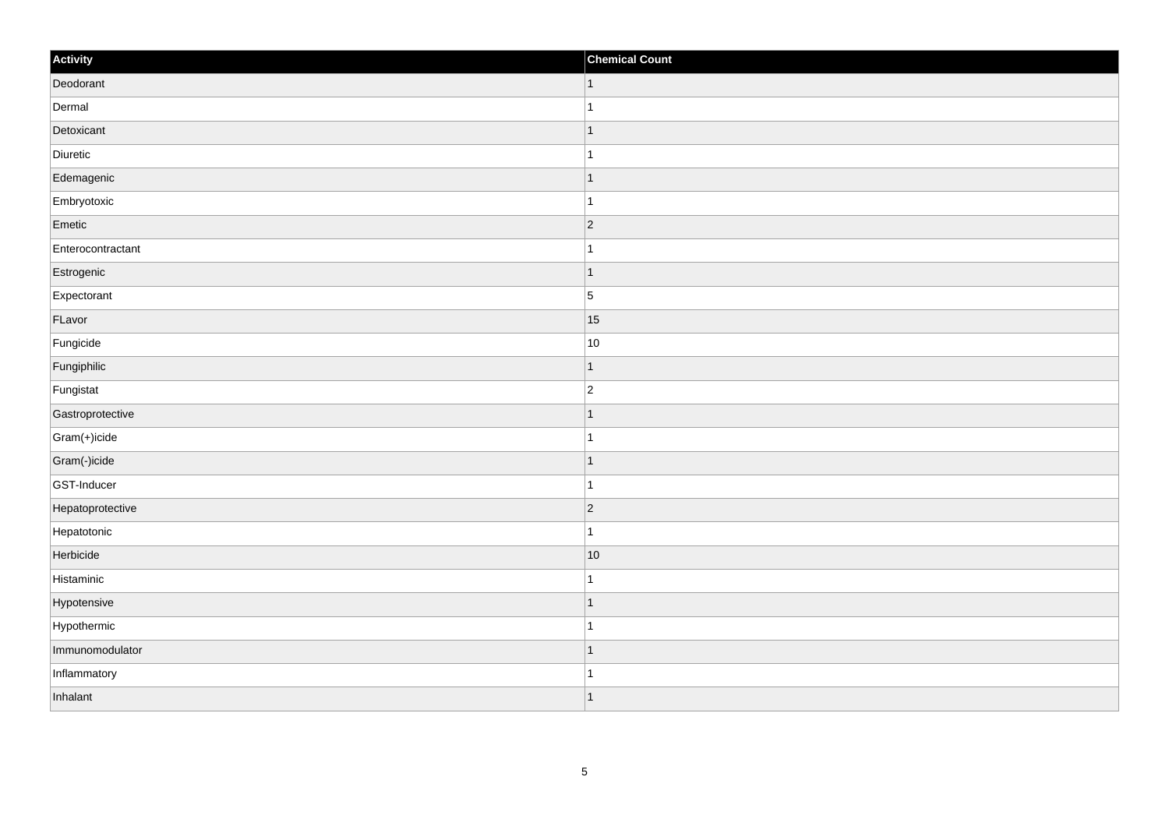| Activity          | <b>Chemical Count</b>    |
|-------------------|--------------------------|
| Deodorant         | $\vert$ 1                |
| Dermal            |                          |
| Detoxicant        | $\overline{\phantom{a}}$ |
| Diuretic          |                          |
| Edemagenic        | -1                       |
| Embryotoxic       |                          |
| Emetic            | $\vert$ 2                |
| Enterocontractant | 1                        |
| Estrogenic        | $\overline{\phantom{a}}$ |
| Expectorant       | $\overline{5}$           |
| FLavor            | 15                       |
| Fungicide         | 10                       |
| Fungiphilic       | $\vert$ 1                |
| Fungistat         | $\overline{2}$           |
| Gastroprotective  | f.                       |
| Gram(+)icide      | 1                        |
| Gram(-)icide      | $\overline{\phantom{a}}$ |
| GST-Inducer       | -1                       |
| Hepatoprotective  | $ 2\rangle$              |
| Hepatotonic       | 1                        |
| Herbicide         | 10                       |
| Histaminic        | 1                        |
| Hypotensive       | 1                        |
| Hypothermic       | -1                       |
| Immunomodulator   | $\overline{\phantom{a}}$ |
| Inflammatory      | -1                       |
| Inhalant          | ∣ 1                      |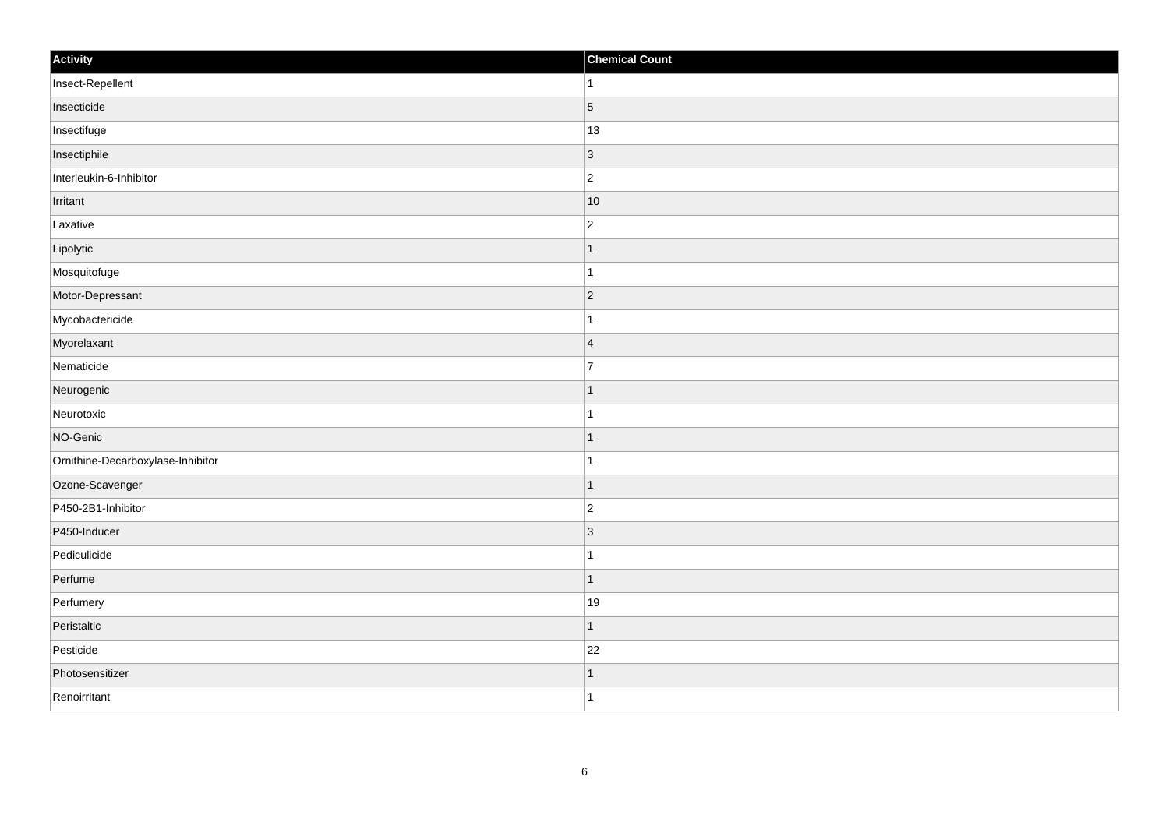| Activity                          | <b>Chemical Count</b> |
|-----------------------------------|-----------------------|
| Insect-Repellent                  | $\vert$ 1             |
| Insecticide                       | $\vert$ 5             |
| Insectifuge                       | 13                    |
| Insectiphile                      | $ 3\rangle$           |
| Interleukin-6-Inhibitor           | $\overline{2}$        |
| Irritant                          | $ 10\rangle$          |
| Laxative                          | $\overline{c}$        |
| Lipolytic                         | $\mathbf 1$           |
| Mosquitofuge                      | 1                     |
| Motor-Depressant                  | $ 2\rangle$           |
| Mycobactericide                   | $\mathbf{1}$          |
| Myorelaxant                       | $\overline{4}$        |
| Nematicide                        | $\overline{7}$        |
| Neurogenic                        | $\mathbf 1$           |
| Neurotoxic                        | -1                    |
| NO-Genic                          | $\vert$ 1             |
| Ornithine-Decarboxylase-Inhibitor | $\mathbf{1}$          |
| Ozone-Scavenger                   | $\vert$ 1             |
| P450-2B1-Inhibitor                | $ 2\rangle$           |
| P450-Inducer                      | 3                     |
| Pediculicide                      | $\mathbf{1}$          |
| Perfume                           | $\vert$ 1             |
| Perfumery                         | 19                    |
| Peristaltic                       | $\mathbf{1}$          |
| Pesticide                         | 22                    |
| Photosensitizer                   | 1                     |
| Renoirritant                      | $\vert$ 1             |